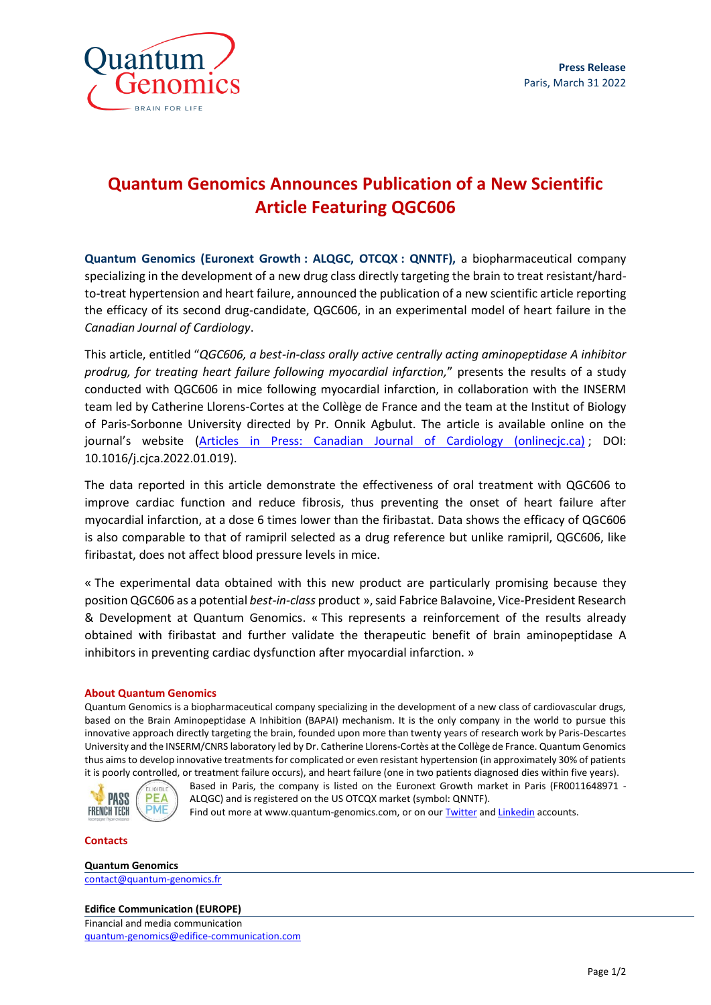

# **Quantum Genomics Announces Publication of a New Scientific Article Featuring QGC606**

**Quantum Genomics (Euronext Growth : ALQGC, OTCQX : QNNTF),** a biopharmaceutical company specializing in the development of a new drug class directly targeting the brain to treat resistant/hardto-treat hypertension and heart failure, announced the publication of a new scientific article reporting the efficacy of its second drug-candidate, QGC606, in an experimental model of heart failure in the *Canadian Journal of Cardiology*.

This article, entitled "*QGC606, a best-in-class orally active centrally acting aminopeptidase A inhibitor prodrug, for treating heart failure following myocardial infarction,*" presents the results of a study conducted with QGC606 in mice following myocardial infarction, in collaboration with the INSERM team led by Catherine Llorens-Cortes at the Collège de France and the team at the Institut of Biology of Paris-Sorbonne University directed by Pr. Onnik Agbulut. The article is available online on the journal's website ([Articles in Press: Canadian Journal of Cardiology \(onlinecjc.ca\)](https://www.onlinecjc.ca/inpress) ; DOI: 10.1016/j.cjca.2022.01.019).

The data reported in this article demonstrate the effectiveness of oral treatment with QGC606 to improve cardiac function and reduce fibrosis, thus preventing the onset of heart failure after myocardial infarction, at a dose 6 times lower than the firibastat. Data shows the efficacy of QGC606 is also comparable to that of ramipril selected as a drug reference but unlike ramipril, QGC606, like firibastat, does not affect blood pressure levels in mice.

« The experimental data obtained with this new product are particularly promising because they position QGC606 as a potential *best-in-class* product », said Fabrice Balavoine, Vice-President Research & Development at Quantum Genomics. « This represents a reinforcement of the results already obtained with firibastat and further validate the therapeutic benefit of brain aminopeptidase A inhibitors in preventing cardiac dysfunction after myocardial infarction. »

## **About Quantum Genomics**

Quantum Genomics is a biopharmaceutical company specializing in the development of a new class of cardiovascular drugs, based on the Brain Aminopeptidase A Inhibition (BAPAI) mechanism. It is the only company in the world to pursue this innovative approach directly targeting the brain, founded upon more than twenty years of research work by Paris-Descartes University and the INSERM/CNRS laboratory led by Dr. Catherine Llorens-Cortès at the Collège de France. Quantum Genomics thus aims to develop innovative treatments for complicated or even resistant hypertension (in approximately 30% of patients it is poorly controlled, or treatment failure occurs), and heart failure (one in two patients diagnosed dies within five years).



Based in Paris, the company is listed on the Euronext Growth market in Paris (FR0011648971 - ALQGC) and is registered on the US OTCQX market (symbol: QNNTF). Find out more at www.quantum-genomics.com, or on our **Twitter an[d Linkedin](https://www.linkedin.com/company/5186305/)** accounts.

#### **Contacts**

#### **Quantum Genomics**

contact@quantum-genomics.fr

## **Edifice Communication (EUROPE)**

Financial and media communication quantum-genomics@edifice-communication.com